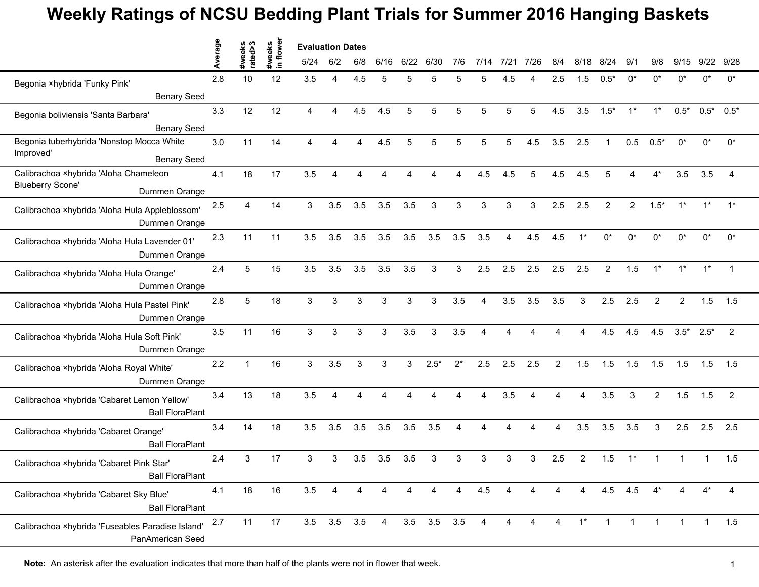## **Weekly Ratings of NCSU Bedding Plant Trials for Summer 2016 Hanging Baskets**

|                                                                       | erage | #weeks<br>rated>3 | flower<br>#weeks | <b>Evaluation Dates</b> |                |     |          |      |                   |       |      |      |      |                                                                                                                                                                                                                                                                                                                                                                                                                                                                                                                                                                                                                                                                                                              |       |                |       |        |        |                |       |
|-----------------------------------------------------------------------|-------|-------------------|------------------|-------------------------|----------------|-----|----------|------|-------------------|-------|------|------|------|--------------------------------------------------------------------------------------------------------------------------------------------------------------------------------------------------------------------------------------------------------------------------------------------------------------------------------------------------------------------------------------------------------------------------------------------------------------------------------------------------------------------------------------------------------------------------------------------------------------------------------------------------------------------------------------------------------------|-------|----------------|-------|--------|--------|----------------|-------|
|                                                                       |       |                   | $\equiv$         | 5/24                    | 6/2            | 6/8 | 6/16     | 6/22 | 6/30              | 7/6   | 7/14 | 7/21 | 7/26 | 8/4                                                                                                                                                                                                                                                                                                                                                                                                                                                                                                                                                                                                                                                                                                          | 8/18  | 8<br>/24       | 9/1   | 9/8    | 9/15   | 9/22           | 9/28  |
| Begonia ×hybrida 'Funky Pink'                                         | 2.8   | 10                | 12               | 3.5                     | 4              | 4.5 | 5        | 5    | 5                 | 5     | 5    | 4.5  |      | 2.5                                                                                                                                                                                                                                                                                                                                                                                                                                                                                                                                                                                                                                                                                                          | 1.5   | $0.5*$         | 0*    | 0*     | 0*     | U <sub>*</sub> | $0^*$ |
| <b>Benary Seed</b>                                                    |       |                   |                  |                         |                |     |          |      |                   |       |      |      |      |                                                                                                                                                                                                                                                                                                                                                                                                                                                                                                                                                                                                                                                                                                              |       |                |       |        |        |                |       |
| Begonia boliviensis 'Santa Barbara'                                   | 3.3   | 12                | 12               | $\overline{4}$          | 4              | 4.5 | 4.5      | 5    | 5                 | 5     | 5    | 5    | 5    | 4.5                                                                                                                                                                                                                                                                                                                                                                                                                                                                                                                                                                                                                                                                                                          | 3.5   | $1.5*$         | $1^*$ | $1^*$  | $0.5*$ |                |       |
| <b>Benary Seed</b>                                                    |       |                   |                  |                         |                |     |          |      |                   |       |      |      |      |                                                                                                                                                                                                                                                                                                                                                                                                                                                                                                                                                                                                                                                                                                              |       |                |       |        |        |                |       |
| Begonia tuberhybrida 'Nonstop Mocca White<br>Improved'                | 3.0   | 11                | 14               | $\overline{4}$          | Δ              | 4   | 4.5      | 5    | 5                 | 5     | 5    | 5    | 4.5  | 3.5                                                                                                                                                                                                                                                                                                                                                                                                                                                                                                                                                                                                                                                                                                          | 2.5   | $\overline{1}$ | 0.5   | $0.5*$ | 0*     | 0*             | 0*    |
| <b>Benary Seed</b>                                                    |       |                   |                  |                         |                |     |          |      |                   |       |      |      |      |                                                                                                                                                                                                                                                                                                                                                                                                                                                                                                                                                                                                                                                                                                              |       |                |       |        |        |                |       |
| Calibrachoa ×hybrida 'Aloha Chameleon                                 | 4.1   | 18                | 17               | 3.5                     | Δ              | Δ   |          |      |                   |       | 4.5  | 4.5  | 5    | 4.5                                                                                                                                                                                                                                                                                                                                                                                                                                                                                                                                                                                                                                                                                                          | 4.5   | 5              |       | $4^*$  | 3.5    | 3.5            |       |
| <b>Blueberry Scone'</b><br>Dummen Orange                              |       |                   |                  |                         |                |     |          |      |                   |       |      |      |      | $0.5^*$ 0.5*<br>$1^*$<br>3<br>2.5<br>2.5<br>$\overline{2}$<br>$\overline{2}$<br>$1.5*$<br>4.5<br>4.5<br>$0^*$<br>$0^*$<br>$0^*$<br>0*<br>$0^*$<br>$1^*$<br>0*<br>2.5<br>2.5<br>$\overline{2}$<br>1.5<br>$1*$<br>$1^*$<br>$1^*$<br>3.5<br>3.5<br>3<br>2.5<br>2.5<br>2<br>2<br>1.5<br>1.5<br>4.5<br>4.5<br>$3.5*$<br>$\overline{2}$<br>4.5<br>$2.5*$<br>$\overline{2}$<br>1.5<br>1.5<br>1.5<br>1.5<br>1.5<br>1.5<br>1.5<br>3.5<br>3<br>$\overline{2}$<br>1.5<br>1.5<br>$\overline{2}$<br>4<br>Δ<br>4<br>3.5<br>3<br>3.5<br>3.5<br>2.5<br>2.5<br>2.5<br>4<br>1.5<br>1.5<br>3<br>2.5<br>$\overline{2}$<br>$1^*$<br>4.5<br>4.5<br>4*<br>$4^*$<br>4<br>4<br>4<br>4<br>$\mathbf{1}$<br>$\mathbf{1}$<br>$\mathbf{1}$ |       |                |       |        |        |                |       |
| Calibrachoa ×hybrida 'Aloha Hula Appleblossom'<br>Dummen Orange       | 2.5   | Δ                 | 14               | 3                       | 3.5            | 3.5 | 3.5      | 3.5  | 3                 | 3     | 3    | 3    |      |                                                                                                                                                                                                                                                                                                                                                                                                                                                                                                                                                                                                                                                                                                              |       |                |       |        |        |                |       |
| Calibrachoa ×hybrida 'Aloha Hula Lavender 01'<br>Dummen Orange        | 2.3   | 11                | 11               | 3.5                     | 3.5            | 3.5 | 3.5      | 3.5  | 3.5               | 3.5   | 3.5  | 4    |      |                                                                                                                                                                                                                                                                                                                                                                                                                                                                                                                                                                                                                                                                                                              |       |                |       |        |        |                |       |
| Calibrachoa ×hybrida 'Aloha Hula Orange'<br>Dummen Orange             | 2.4   | 5                 | 15               | 3.5                     | 3.5            | 3.5 | 3.5      | 3.5  | 3                 | 3     | 2.5  | 2.5  | 2.5  |                                                                                                                                                                                                                                                                                                                                                                                                                                                                                                                                                                                                                                                                                                              |       |                |       |        |        |                |       |
| Calibrachoa ×hybrida 'Aloha Hula Pastel Pink'<br>Dummen Orange        | 2.8   | 5                 | 18               | 3                       | 3              | 3   | 3        | 3    | 3                 | 3.5   | 4    | 3.5  |      |                                                                                                                                                                                                                                                                                                                                                                                                                                                                                                                                                                                                                                                                                                              |       |                |       |        |        |                |       |
| Calibrachoa ×hybrida 'Aloha Hula Soft Pink'<br>Dummen Orange          | 3.5   | 11                | 16               | 3                       | 3              | 3   | 3        | 3.5  | 3                 | 3.5   |      |      |      |                                                                                                                                                                                                                                                                                                                                                                                                                                                                                                                                                                                                                                                                                                              |       |                |       |        |        |                |       |
| Calibrachoa ×hybrida 'Aloha Royal White'<br>Dummen Orange             | 2.2   | $\mathbf{1}$      | 16               | 3                       | 3.5            | 3   | 3        | 3    | $2.5*$            | $2^*$ | 2.5  | 2.5  | 2.5  |                                                                                                                                                                                                                                                                                                                                                                                                                                                                                                                                                                                                                                                                                                              |       |                |       |        |        |                |       |
| Calibrachoa ×hybrida 'Cabaret Lemon Yellow'<br><b>Ball FloraPlant</b> | 3.4   | 13                | 18               | 3.5                     | 4              | Δ   | $\Delta$ | 4    |                   |       | 4    | 3.5  |      |                                                                                                                                                                                                                                                                                                                                                                                                                                                                                                                                                                                                                                                                                                              |       |                |       |        |        |                |       |
| Calibrachoa ×hybrida 'Cabaret Orange'<br><b>Ball FloraPlant</b>       | 3.4   | 14                | 18               | 3.5                     | 3.5            | 3.5 | 3.5      | 3.5  | 3.5               |       |      |      |      |                                                                                                                                                                                                                                                                                                                                                                                                                                                                                                                                                                                                                                                                                                              |       |                |       |        |        |                |       |
| Calibrachoa ×hybrida 'Cabaret Pink Star'<br><b>Ball FloraPlant</b>    | 2.4   | 3                 | 17               | 3                       | 3              | 3.5 | 3.5      | 3.5  | 3                 | 3     | 3    | 3    |      |                                                                                                                                                                                                                                                                                                                                                                                                                                                                                                                                                                                                                                                                                                              |       |                |       |        |        |                |       |
| Calibrachoa ×hybrida 'Cabaret Sky Blue'<br><b>Ball FloraPlant</b>     | 4.1   | 18                | 16               | 3.5                     | 4              | 4   |          | 4    |                   | 4     | 4.5  |      |      |                                                                                                                                                                                                                                                                                                                                                                                                                                                                                                                                                                                                                                                                                                              |       |                |       |        |        |                |       |
| Calibrachoa ×hybrida 'Fuseables Paradise Island'<br>PanAmerican Seed  | 2.7   | 11                | 17               |                         | $3.5\quad 3.5$ | 3.5 | 4        |      | $3.5$ $3.5$ $3.5$ |       | 4    | 4    |      |                                                                                                                                                                                                                                                                                                                                                                                                                                                                                                                                                                                                                                                                                                              | $1^*$ |                |       |        |        |                | 1.5   |

**Note:** An asterisk after the evaluation indicates that more than half of the plants were not in flower that week.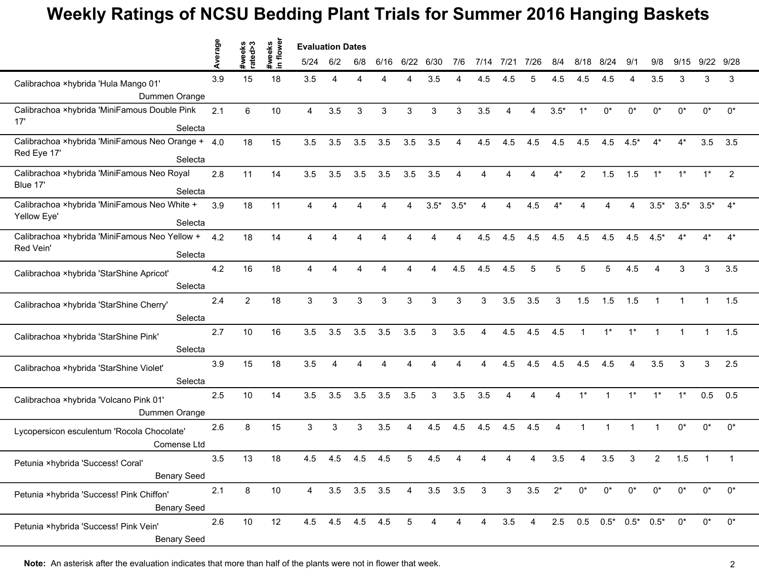## **Weekly Ratings of NCSU Bedding Plant Trials for Summer 2016 Hanging Baskets**

|                                                                       | Average | reeks<br>ted>3 | weeks<br>n flower | <b>Evaluation Dates</b> |                        |             |      |                |                |                |                |                |      |        |                          |              |                |                        |        |        |       |
|-----------------------------------------------------------------------|---------|----------------|-------------------|-------------------------|------------------------|-------------|------|----------------|----------------|----------------|----------------|----------------|------|--------|--------------------------|--------------|----------------|------------------------|--------|--------|-------|
|                                                                       |         | rate           | $\equiv$          | 5/24                    | 6/2                    | 6/8         | 6/16 | 6/22           | 6/30           | 7/6            | 7/14           | 7/21           | 7/26 | 8/4    | 8/18                     | 8/24         | 9'             | 9/8                    | 9/15   | 9/22   | 9/28  |
| Calibrachoa ×hybrida 'Hula Mango 01'                                  | 3.9     | 15             | 18                | 3.5                     | Δ                      |             |      | Δ              | 3.5            |                | 4.5            | 4.5            |      | 4.5    | 4.5                      | 4.5          | Δ              | 3.5                    | 3      | 3      | 3     |
| Dummen Orange                                                         |         |                |                   |                         |                        |             |      |                |                |                |                |                |      |        |                          |              |                |                        |        |        |       |
| Calibrachoa ×hybrida 'MiniFamous Double Pink<br>17'<br>Selecta        | 2.1     | 6              | 10                | 4                       | 3.5                    | 3           | 3    | 3              | 3              | 3              | 3.5            | 4              | 4    | $3.5*$ | $1^*$                    | $0^*$        | 0*             | 0*                     | 0*     | 0*     | $0^*$ |
| Calibrachoa ×hybrida 'MiniFamous Neo Orange + 4.0<br>Red Eye 17'      |         | 18             | 15                | 3.5                     | 3.5                    | 3.5         | 3.5  | 3.5            | 3.5            | 4              | 4.5            | 4.5            | 4.5  | 4.5    | 4.5                      | 4.5          | $4.5*$         | 4*                     | $4^*$  | 3.5    | 3.5   |
| Selecta                                                               |         |                |                   |                         |                        |             |      |                |                |                |                |                |      |        |                          |              |                |                        |        |        |       |
| Calibrachoa ×hybrida 'MiniFamous Neo Royal<br>Blue 17'<br>Selecta     | 2.8     | 11             | 14                | 3.5                     | 3.5                    | 3.5         | 3.5  | 3.5            | 3.5            |                |                |                |      | $4^*$  | 2                        | 1.5          | 1.5            | $1^*$                  | $1^*$  | $1^*$  | 2     |
| Calibrachoa ×hybrida 'MiniFamous Neo White +<br>Yellow Eye'           | 3.9     | 18             | 11                | 4                       |                        |             |      | Δ              | $3.5*$         | $3.5*$         |                |                | 4.5  |        |                          |              |                | $3.5*$                 | $3.5*$ | $3.5*$ | $4^*$ |
| Selecta                                                               |         |                |                   |                         |                        |             |      |                |                |                |                |                |      |        |                          |              |                |                        |        |        |       |
| Calibrachoa ×hybrida 'MiniFamous Neo Yellow +<br>Red Vein'<br>Selecta | 4.2     | 18             | 14                | 4                       | Δ                      | Δ           |      | Δ              |                | Δ              | 4.5            | 4.5            | 4.5  | 4.5    | 4.5                      | 4.5          | 4.5            | $4.5*$                 | $4^*$  | $4^*$  | $4^*$ |
| Calibrachoa ×hybrida 'StarShine Apricot'<br>Selecta                   | 4.2     | 16             | 18                | 4                       |                        | Δ           |      | Δ              | Δ              | 4.5            | 4.5            | 4.5            | 5    | 5      | 5                        | 5            | 4.5            | $\boldsymbol{\Lambda}$ | 3      | 3      | 3.5   |
| Calibrachoa ×hybrida 'StarShine Cherry'                               | 2.4     | $\overline{2}$ | 18                | 3                       | 3                      | 3           | 3    | 3              | 3              | 3              | 3              | 3.5            | 3.5  | 3      | 1.5                      | 1.5          | 1.5            |                        |        |        | 1.5   |
| Selecta                                                               |         |                |                   |                         |                        |             |      |                |                |                |                |                |      |        |                          |              |                |                        |        |        |       |
| Calibrachoa ×hybrida 'StarShine Pink'<br>Selecta                      | 2.7     | 10             | 16                | 3.5                     | 3.5                    | 3.5         | 3.5  | 3.5            | 3              | 3.5            |                | 4.5            | 4.5  | 4.5    |                          | $1^*$        | $1*$           |                        |        |        | 1.5   |
| Calibrachoa ×hybrida 'StarShine Violet'                               | 3.9     | 15             | 18                | 3.5                     | $\boldsymbol{\Lambda}$ | Δ           |      | Δ              |                |                | 4              | 4.5            | 4.5  | 4.5    | 4.5                      | 4.5          | $\overline{a}$ | 3.5                    | 3      | 3      | 2.5   |
| Selecta                                                               |         |                |                   |                         |                        |             |      |                |                |                |                |                |      |        |                          |              |                |                        |        |        |       |
| Calibrachoa ×hybrida 'Volcano Pink 01'<br>Dummen Orange               | 2.5     | 10             | 14                | 3.5                     | 3.5                    | 3.5         | 3.5  | 3.5            | 3              | 3.5            | 3.5            | 4              | 4    | 4      | $1^*$                    | $\mathbf{1}$ | $1^*$          | $1^*$                  | $1*$   | 0.5    | 0.5   |
| Lycopersicon esculentum 'Rocola Chocolate'<br>Comense Ltd             | 2.6     | 8              | 15                | 3                       | 3                      | 3           | 3.5  | 4              | 4.5            | 4.5            | 4.5            | 4.5            | 4.5  | 4      |                          |              |                |                        | $0^*$  | 0*     | $0^*$ |
| Petunia ×hybrida 'Success! Coral'<br><b>Benary Seed</b>               | 3.5     | 13             | 18                | 4.5                     | 4.5                    | 4.5         | 4.5  | 5              | 4.5            |                |                |                |      | 3.5    |                          | 3.5          | 3              | $\overline{2}$         | 1.5    |        |       |
| Petunia ×hybrida 'Success! Pink Chiffon'<br><b>Benary Seed</b>        | 2.1     | 8              | $10$              | $\overline{4}$          |                        | 3.5 3.5 3.5 |      | $\overline{4}$ | $3.5\quad 3.5$ |                | $\mathbf{3}$   | 3 <sup>7</sup> | 3.5  | $2^*$  | $0^*$                    | $0^*$        | $0^*$          | $0^*$                  | $0^*$  | 0*     | $0^*$ |
| Petunia ×hybrida 'Success! Pink Vein'<br><b>Benary Seed</b>           | 2.6     | $10\,$         | 12                |                         | 4.5 4.5 4.5 4.5        |             |      | $\overline{5}$ | 4              | $\overline{4}$ | $\overline{4}$ | $3.5 \quad 4$  |      |        | $2.5$ 0.5 0.5* 0.5* 0.5* |              |                |                        | $0^*$  | $0^*$  | $0^*$ |

**Note:** An asterisk after the evaluation indicates that more than half of the plants were not in flower that week. 2